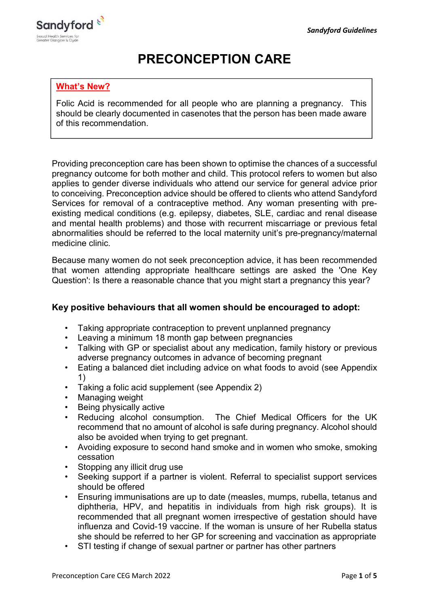

# PRECONCEPTION CARE

## What's New?

Folic Acid is recommended for all people who are planning a pregnancy. This should be clearly documented in casenotes that the person has been made aware of this recommendation.

Providing preconception care has been shown to optimise the chances of a successful pregnancy outcome for both mother and child. This protocol refers to women but also applies to gender diverse individuals who attend our service for general advice prior to conceiving. Preconception advice should be offered to clients who attend Sandyford Services for removal of a contraceptive method. Any woman presenting with preexisting medical conditions (e.g. epilepsy, diabetes, SLE, cardiac and renal disease and mental health problems) and those with recurrent miscarriage or previous fetal abnormalities should be referred to the local maternity unit's pre-pregnancy/maternal medicine clinic.

Because many women do not seek preconception advice, it has been recommended that women attending appropriate healthcare settings are asked the 'One Key Question': Is there a reasonable chance that you might start a pregnancy this year?

## Key positive behaviours that all women should be encouraged to adopt:

- Taking appropriate contraception to prevent unplanned pregnancy
- Leaving a minimum 18 month gap between pregnancies
- Talking with GP or specialist about any medication, family history or previous adverse pregnancy outcomes in advance of becoming pregnant
- Eating a balanced diet including advice on what foods to avoid (see Appendix 1)
- Taking a folic acid supplement (see Appendix 2)
- Managing weight
- Being physically active
- Reducing alcohol consumption. The Chief Medical Officers for the UK recommend that no amount of alcohol is safe during pregnancy. Alcohol should also be avoided when trying to get pregnant.
- Avoiding exposure to second hand smoke and in women who smoke, smoking cessation
- Stopping any illicit drug use
- Seeking support if a partner is violent. Referral to specialist support services should be offered
- Ensuring immunisations are up to date (measles, mumps, rubella, tetanus and diphtheria, HPV, and hepatitis in individuals from high risk groups). It is recommended that all pregnant women irrespective of gestation should have influenza and Covid-19 vaccine. If the woman is unsure of her Rubella status she should be referred to her GP for screening and vaccination as appropriate
- STI testing if change of sexual partner or partner has other partners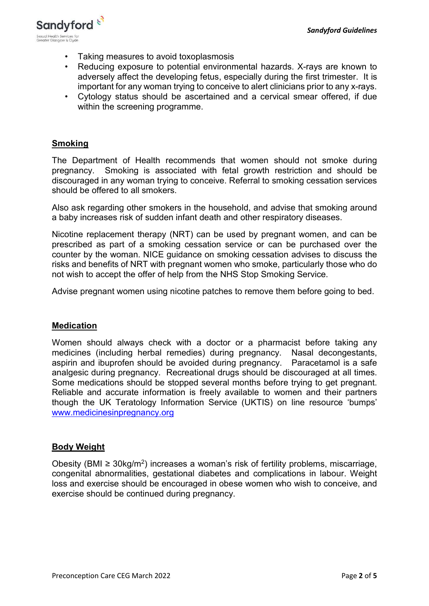

- Taking measures to avoid toxoplasmosis
- Reducing exposure to potential environmental hazards. X-rays are known to adversely affect the developing fetus, especially during the first trimester. It is important for any woman trying to conceive to alert clinicians prior to any x-rays.
- Cytology status should be ascertained and a cervical smear offered, if due within the screening programme.

## **Smoking**

The Department of Health recommends that women should not smoke during pregnancy. Smoking is associated with fetal growth restriction and should be discouraged in any woman trying to conceive. Referral to smoking cessation services should be offered to all smokers.

Also ask regarding other smokers in the household, and advise that smoking around a baby increases risk of sudden infant death and other respiratory diseases.

Nicotine replacement therapy (NRT) can be used by pregnant women, and can be prescribed as part of a smoking cessation service or can be purchased over the counter by the woman. NICE guidance on smoking cessation advises to discuss the risks and benefits of NRT with pregnant women who smoke, particularly those who do not wish to accept the offer of help from the NHS Stop Smoking Service.

Advise pregnant women using nicotine patches to remove them before going to bed.

### Medication

Women should always check with a doctor or a pharmacist before taking any medicines (including herbal remedies) during pregnancy. Nasal decongestants, aspirin and ibuprofen should be avoided during pregnancy. Paracetamol is a safe analgesic during pregnancy. Recreational drugs should be discouraged at all times. Some medications should be stopped several months before trying to get pregnant. Reliable and accurate information is freely available to women and their partners though the UK Teratology Information Service (UKTIS) on line resource 'bumps' www.medicinesinpregnancy.org

### Body Weight

Obesity (BMI ≥ 30kg/m<sup>2</sup>) increases a woman's risk of fertility problems, miscarriage, congenital abnormalities, gestational diabetes and complications in labour. Weight loss and exercise should be encouraged in obese women who wish to conceive, and exercise should be continued during pregnancy.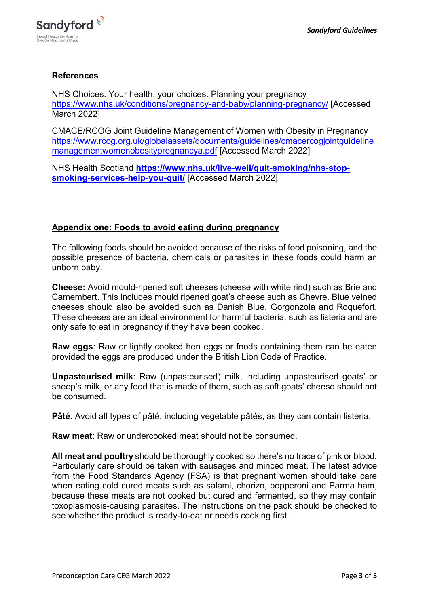

## **References**

NHS Choices. Your health, your choices. Planning your pregnancy https://www.nhs.uk/conditions/pregnancy-and-baby/planning-pregnancy/ [Accessed March 2022]

CMACE/RCOG Joint Guideline Management of Women with Obesity in Pregnancy https://www.rcog.org.uk/globalassets/documents/guidelines/cmacercogjointguideline managementwomenobesitypregnancya.pdf [Accessed March 2022]

NHS Health Scotland https://www.nhs.uk/live-well/quit-smoking/nhs-stopsmoking-services-help-you-quit/ [Accessed March 2022]

### Appendix one: Foods to avoid eating during pregnancy

The following foods should be avoided because of the risks of food poisoning, and the possible presence of bacteria, chemicals or parasites in these foods could harm an unborn baby.

Cheese: Avoid mould-ripened soft cheeses (cheese with white rind) such as Brie and Camembert. This includes mould ripened goat's cheese such as Chevre. Blue veined cheeses should also be avoided such as Danish Blue, Gorgonzola and Roquefort. These cheeses are an ideal environment for harmful bacteria, such as listeria and are only safe to eat in pregnancy if they have been cooked.

Raw eggs: Raw or lightly cooked hen eggs or foods containing them can be eaten provided the eggs are produced under the British Lion Code of Practice.

Unpasteurised milk: Raw (unpasteurised) milk, including unpasteurised goats' or sheep's milk, or any food that is made of them, such as soft goats' cheese should not be consumed.

Pâté: Avoid all types of pâté, including vegetable pâtés, as they can contain listeria.

Raw meat: Raw or undercooked meat should not be consumed.

All meat and poultry should be thoroughly cooked so there's no trace of pink or blood. Particularly care should be taken with sausages and minced meat. The latest advice from the Food Standards Agency (FSA) is that pregnant women should take care when eating cold cured meats such as salami, chorizo, pepperoni and Parma ham, because these meats are not cooked but cured and fermented, so they may contain toxoplasmosis-causing parasites. The instructions on the pack should be checked to see whether the product is ready-to-eat or needs cooking first.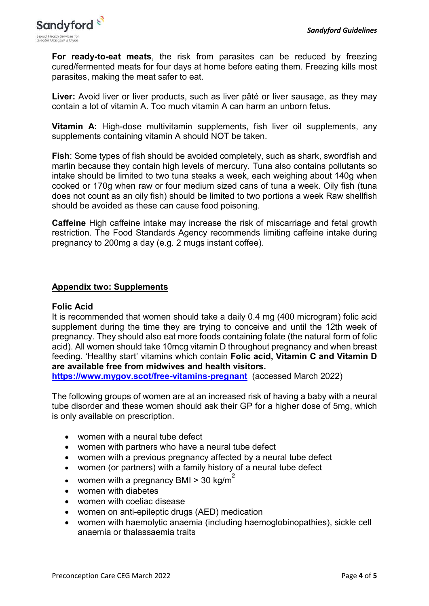

For ready-to-eat meats, the risk from parasites can be reduced by freezing cured/fermented meats for four days at home before eating them. Freezing kills most parasites, making the meat safer to eat.

Liver: Avoid liver or liver products, such as liver pâté or liver sausage, as they may contain a lot of vitamin A. Too much vitamin A can harm an unborn fetus.

Vitamin A: High-dose multivitamin supplements, fish liver oil supplements, any supplements containing vitamin A should NOT be taken.

Fish: Some types of fish should be avoided completely, such as shark, swordfish and marlin because they contain high levels of mercury. Tuna also contains pollutants so intake should be limited to two tuna steaks a week, each weighing about 140g when cooked or 170g when raw or four medium sized cans of tuna a week. Oily fish (tuna does not count as an oily fish) should be limited to two portions a week Raw shellfish should be avoided as these can cause food poisoning.

Caffeine High caffeine intake may increase the risk of miscarriage and fetal growth restriction. The Food Standards Agency recommends limiting caffeine intake during pregnancy to 200mg a day (e.g. 2 mugs instant coffee).

### Appendix two: Supplements

#### Folic Acid

It is recommended that women should take a daily 0.4 mg (400 microgram) folic acid supplement during the time they are trying to conceive and until the 12th week of pregnancy. They should also eat more foods containing folate (the natural form of folic acid). All women should take 10mcg vitamin D throughout pregnancy and when breast feeding. 'Healthy start' vitamins which contain Folic acid, Vitamin C and Vitamin D are available free from midwives and health visitors.

https://www.mygov.scot/free-vitamins-pregnant (accessed March 2022)

The following groups of women are at an increased risk of having a baby with a neural tube disorder and these women should ask their GP for a higher dose of 5mg, which is only available on prescription.

- women with a neural tube defect
- women with partners who have a neural tube defect
- women with a previous pregnancy affected by a neural tube defect
- women (or partners) with a family history of a neural tube defect
- women with a pregnancy BMI > 30 kg/m<sup>2</sup>
- women with diabetes
- women with coeliac disease
- women on anti-epileptic drugs (AED) medication
- women with haemolytic anaemia (including haemoglobinopathies), sickle cell anaemia or thalassaemia traits